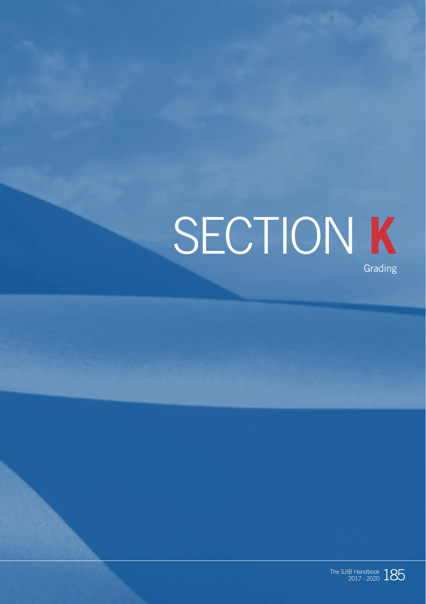# SECTION **K** Grading

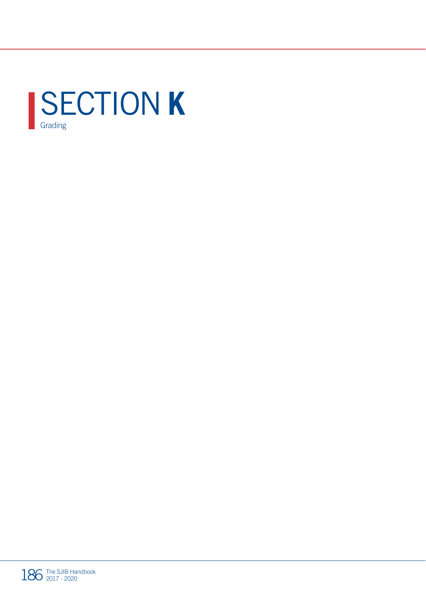

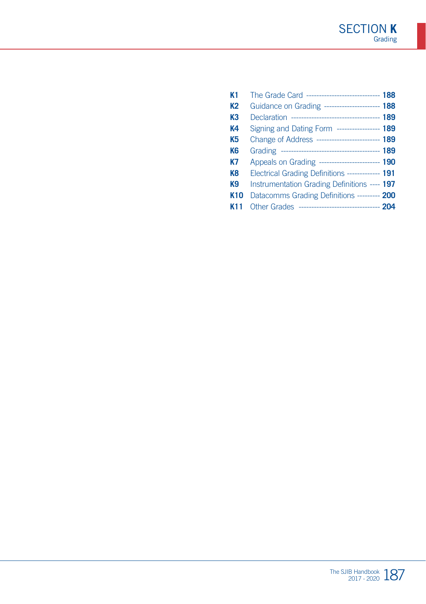| K <sub>1</sub>  | The Grade Card ----------------------------- 188    |  |
|-----------------|-----------------------------------------------------|--|
| K <sub>2</sub>  | Guidance on Grading ----------------------- 188     |  |
| K <sub>3</sub>  | Declaration ----------------------------------- 189 |  |
| K4              | Signing and Dating Form ----------------- 189       |  |
| K5              | Change of Address ------------------------- 189     |  |
| K <sub>6</sub>  |                                                     |  |
| K7              | Appeals on Grading ------------------------- 190    |  |
| K <sub>8</sub>  | Electrical Grading Definitions ------------- 191    |  |
| K9              | Instrumentation Grading Definitions ---- 197        |  |
| K <sub>10</sub> | Datacomms Grading Definitions --------- 200         |  |
|                 | Other Grades -------------------------------- 204   |  |
|                 |                                                     |  |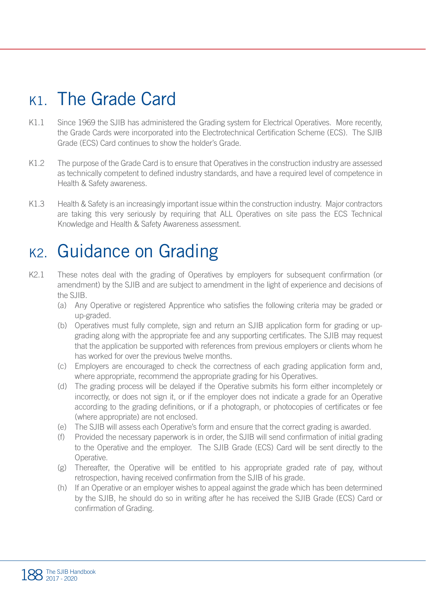### K1. The Grade Card

- K1.1 Since 1969 the SJIB has administered the Grading system for Electrical Operatives. More recently, the Grade Cards were incorporated into the Electrotechnical Certification Scheme (ECS). The SJIB Grade (ECS) Card continues to show the holder's Grade.
- K1.2 The purpose of the Grade Card is to ensure that Operatives in the construction industry are assessed as technically competent to defined industry standards, and have a required level of competence in Health & Safety awareness.
- K1.3 Health & Safety is an increasingly important issue within the construction industry. Major contractors are taking this very seriously by requiring that ALL Operatives on site pass the ECS Technical Knowledge and Health & Safety Awareness assessment.

### K<sub>2</sub>. Guidance on Grading

- K2.1 These notes deal with the grading of Operatives by employers for subsequent confirmation (or amendment) by the SJIB and are subject to amendment in the light of experience and decisions of the SJIB.
	- (a) Any Operative or registered Apprentice who satisfies the following criteria may be graded or up-graded.
	- (b) Operatives must fully complete, sign and return an SJIB application form for grading or upgrading along with the appropriate fee and any supporting certificates. The SJIB may request that the application be supported with references from previous employers or clients whom he has worked for over the previous twelve months.
	- (c) Employers are encouraged to check the correctness of each grading application form and, where appropriate, recommend the appropriate grading for his Operatives.
	- (d) The grading process will be delayed if the Operative submits his form either incompletely or incorrectly, or does not sign it, or if the employer does not indicate a grade for an Operative according to the grading definitions, or if a photograph, or photocopies of certificates or fee (where appropriate) are not enclosed.
	- (e) The SJIB will assess each Operative's form and ensure that the correct grading is awarded.
	- (f) Provided the necessary paperwork is in order, the SJIB will send confirmation of initial grading to the Operative and the employer. The SJIB Grade (ECS) Card will be sent directly to the Operative.
	- (g) Thereafter, the Operative will be entitled to his appropriate graded rate of pay, without retrospection, having received confirmation from the SJIB of his grade.
	- (h) If an Operative or an employer wishes to appeal against the grade which has been determined by the SJIB, he should do so in writing after he has received the SJIB Grade (ECS) Card or confirmation of Grading.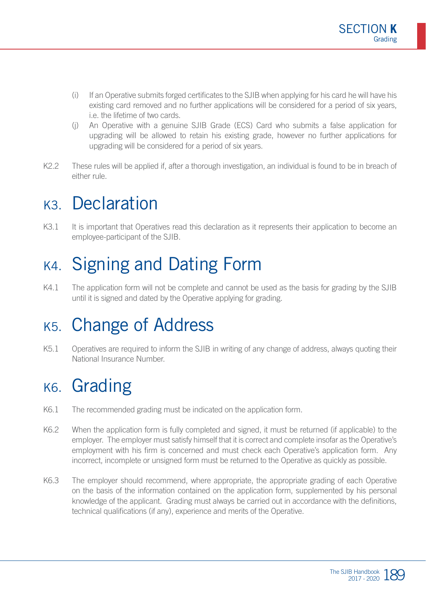- (i) If an Operative submits forged certificates to the SJIB when applying for his card he will have his existing card removed and no further applications will be considered for a period of six years, i.e. the lifetime of two cards.
- (j) An Operative with a genuine SJIB Grade (ECS) Card who submits a false application for upgrading will be allowed to retain his existing grade, however no further applications for upgrading will be considered for a period of six years.
- K2.2 These rules will be applied if, after a thorough investigation, an individual is found to be in breach of either rule.

### K3. Declaration

K3.1 It is important that Operatives read this declaration as it represents their application to become an employee-participant of the SJIB.

# K4. Signing and Dating Form

K4.1 The application form will not be complete and cannot be used as the basis for grading by the SJIB until it is signed and dated by the Operative applying for grading.

### K5. Change of Address

K5.1 Operatives are required to inform the SJIB in writing of any change of address, always quoting their National Insurance Number.

### K6. Grading

- K6.1 The recommended grading must be indicated on the application form.
- K6.2 When the application form is fully completed and signed, it must be returned (if applicable) to the employer. The employer must satisfy himself that it is correct and complete insofar as the Operative's employment with his firm is concerned and must check each Operative's application form. Any incorrect, incomplete or unsigned form must be returned to the Operative as quickly as possible.
- K6.3 The employer should recommend, where appropriate, the appropriate grading of each Operative on the basis of the information contained on the application form, supplemented by his personal knowledge of the applicant. Grading must always be carried out in accordance with the definitions, technical qualifications (if any), experience and merits of the Operative.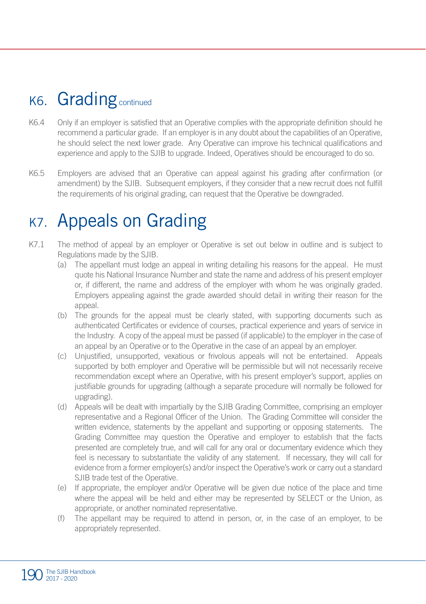### K6. Grading continued

- K6.4 Only if an employer is satisfied that an Operative complies with the appropriate definition should he recommend a particular grade. If an employer is in any doubt about the capabilities of an Operative, he should select the next lower grade. Any Operative can improve his technical qualifications and experience and apply to the SJIB to upgrade. Indeed, Operatives should be encouraged to do so.
- K6.5 Employers are advised that an Operative can appeal against his grading after confirmation (or amendment) by the SJIB. Subsequent employers, if they consider that a new recruit does not fulfill the requirements of his original grading, can request that the Operative be downgraded.

### K7. Appeals on Grading

- K7.1 The method of appeal by an employer or Operative is set out below in outline and is subject to Regulations made by the SJIB.
	- (a) The appellant must lodge an appeal in writing detailing his reasons for the appeal. He must quote his National Insurance Number and state the name and address of his present employer or, if different, the name and address of the employer with whom he was originally graded. Employers appealing against the grade awarded should detail in writing their reason for the appeal.
	- (b) The grounds for the appeal must be clearly stated, with supporting documents such as authenticated Certificates or evidence of courses, practical experience and years of service in the Industry. A copy of the appeal must be passed (if applicable) to the employer in the case of an appeal by an Operative or to the Operative in the case of an appeal by an employer.
	- (c) Unjustified, unsupported, vexatious or frivolous appeals will not be entertained. Appeals supported by both employer and Operative will be permissible but will not necessarily receive recommendation except where an Operative, with his present employer's support, applies on justifiable grounds for upgrading (although a separate procedure will normally be followed for upgrading).
	- (d) Appeals will be dealt with impartially by the SJIB Grading Committee, comprising an employer representative and a Regional Officer of the Union. The Grading Committee will consider the written evidence, statements by the appellant and supporting or opposing statements. The Grading Committee may question the Operative and employer to establish that the facts presented are completely true, and will call for any oral or documentary evidence which they feel is necessary to substantiate the validity of any statement. If necessary, they will call for evidence from a former employer(s) and/or inspect the Operative's work or carry out a standard SJIB trade test of the Operative.
	- (e) If appropriate, the employer and/or Operative will be given due notice of the place and time where the appeal will be held and either may be represented by SELECT or the Union, as appropriate, or another nominated representative.
	- (f) The appellant may be required to attend in person, or, in the case of an employer, to be appropriately represented.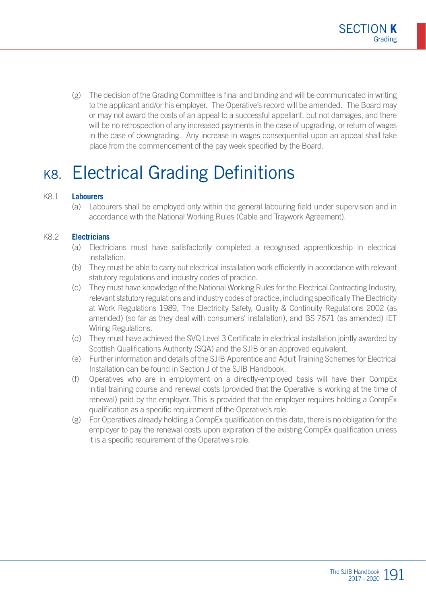(g) The decision of the Grading Committee is final and binding and will be communicated in writing to the applicant and/or his employer. The Operative's record will be amended. The Board may or may not award the costs of an appeal to a successful appellant, but not damages, and there will be no retrospection of any increased payments in the case of upgrading, or return of wages in the case of downgrading. Any increase in wages consequential upon an appeal shall take place from the commencement of the pay week specified by the Board.

### K8. Electrical Grading Definitions

#### K8.1 **Labourers**

(a) Labourers shall be employed only within the general labouring field under supervision and in accordance with the National Working Rules (Cable and Traywork Agreement).

#### K8.2 **Electricians**

- (a) Electricians must have satisfactorily completed a recognised apprenticeship in electrical installation.
- (b) They must be able to carry out electrical installation work efficiently in accordance with relevant statutory regulations and industry codes of practice.
- (c) They must have knowledge of the National Working Rules for the Electrical Contracting Industry, relevant statutory regulations and industry codes of practice, including specifically The Electricity at Work Regulations 1989, The Electricity Safety, Quality & Continuity Regulations 2002 (as amended) (so far as they deal with consumers' installation), and BS 7671 (as amended) IET Wiring Regulations.
- (d) They must have achieved the SVQ Level 3 Certificate in electrical installation jointly awarded by Scottish Qualifications Authority (SQA) and the SJIB or an approved equivalent.
- (e) Further information and details of the SJIB Apprentice and Adult Training Schemes for Electrical Installation can be found in Section J of the SJIB Handbook.
- (f) Operatives who are in employment on a directly-employed basis will have their CompEx initial training course and renewal costs (provided that the Operative is working at the time of renewal) paid by the employer. This is provided that the employer requires holding a CompEx qualification as a specific requirement of the Operative's role.
- (g) For Operatives already holding a CompEx qualification on this date, there is no obligation for the employer to pay the renewal costs upon expiration of the existing CompEx qualification unless it is a specific requirement of the Operative's role.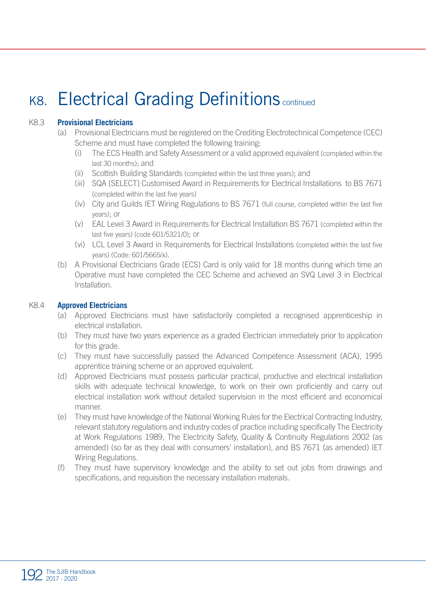# K8. Electrical Grading Definitions continued

#### K8.3 **Provisional Electricians**

- (a) Provisional Electricians must be registered on the Crediting Electrotechnical Competence (CEC) Scheme and must have completed the following training:
	- (i) The ECS Health and Safety Assessment or a valid approved equivalent (completed within the last 30 months); and
	- (ii) Scottish Building Standards (completed within the last three years); and
	- (iii) SQA [SELECT] Customised Award in Requirements for Electrical Installations to BS 7671 (completed within the last five years)
	- (iv) City and Guilds IET Wiring Regulations to BS 7671 (full course, completed within the last five years); or
	- (v) EAL Level 3 Award in Requirements for Electrical Installation BS 7671 (completed within the last five years) (code 601/5321/0); or
	- (vi) LCL Level 3 Award in Requirements for Electrical Installations (completed within the last five years) (Code: 601/5665/x).
- (b) A Provisional Electricians Grade (ECS) Card is only valid for 18 months during which time an Operative must have completed the CEC Scheme and achieved an SVQ Level 3 in Electrical Installation.

#### K8.4 **Approved Electricians**

- (a) Approved Electricians must have satisfactorily completed a recognised apprenticeship in electrical installation.
- (b) They must have two years experience as a graded Electrician immediately prior to application for this grade.
- (c) They must have successfully passed the Advanced Competence Assessment (ACA), 1995 apprentice training scheme or an approved equivalent.
- (d) Approved Electricians must possess particular practical, productive and electrical installation skills with adequate technical knowledge, to work on their own proficiently and carry out electrical installation work without detailed supervision in the most efficient and economical manner.
- (e) They must have knowledge of the National Working Rules for the Electrical Contracting Industry, relevant statutory regulations and industry codes of practice including specifically The Electricity at Work Regulations 1989, The Electricity Safety, Quality & Continuity Regulations 2002 (as amended) (so far as they deal with consumers' installation), and BS 7671 (as amended) IET Wiring Regulations.
- (f) They must have supervisory knowledge and the ability to set out jobs from drawings and specifications, and requisition the necessary installation materials.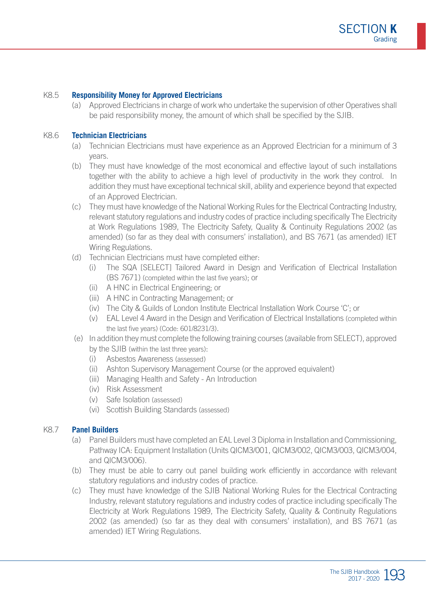#### K8.5 **Responsibility Money for Approved Electricians**

(a) Approved Electricians in charge of work who undertake the supervision of other Operatives shall be paid responsibility money, the amount of which shall be specified by the SJIB.

#### K8.6 **Technician Electricians**

- (a) Technician Electricians must have experience as an Approved Electrician for a minimum of 3 years.
- (b) They must have knowledge of the most economical and effective layout of such installations together with the ability to achieve a high level of productivity in the work they control. In addition they must have exceptional technical skill, ability and experience beyond that expected of an Approved Electrician.
- (c) They must have knowledge of the National Working Rules for the Electrical Contracting Industry, relevant statutory regulations and industry codes of practice including specifically The Electricity at Work Regulations 1989, The Electricity Safety, Quality & Continuity Regulations 2002 (as amended) (so far as they deal with consumers' installation), and BS 7671 (as amended) IET Wiring Regulations.
- (d) Technician Electricians must have completed either:
	- (i) The SQA [SELECT] Tailored Award in Design and Verification of Electrical Installation (BS 7671) (completed within the last five years); or
	- (ii) A HNC in Electrical Engineering; or
	- (iii) A HNC in Contracting Management; or
	- (iv) The City & Guilds of London Institute Electrical Installation Work Course 'C'; or
	- (v) EAL Level 4 Award in the Design and Verification of Electrical Installations (completed within the last five years) (Code: 601/8231/3).
- (e) In addition they must complete the following training courses (available from SELECT), approved by the SJIB (within the last three years):
	- (i) Asbestos Awareness (assessed)
	- (ii) Ashton Supervisory Management Course (or the approved equivalent)
	- (iii) Managing Health and Safety An Introduction
	- (iv) Risk Assessment
	- (v) Safe Isolation (assessed)
	- (vi) Scottish Building Standards (assessed)

#### K8.7 **Panel Builders**

- (a) Panel Builders must have completed an EAL Level 3 Diploma in Installation and Commissioning, Pathway ICA: Equipment Installation (Units QICM3/001, QICM3/002, QICM3/003, QICM3/004, and QICM3/006).
- (b) They must be able to carry out panel building work efficiently in accordance with relevant statutory regulations and industry codes of practice.
- (c) They must have knowledge of the SJIB National Working Rules for the Electrical Contracting Industry, relevant statutory regulations and industry codes of practice including specifically The Electricity at Work Regulations 1989, The Electricity Safety, Quality & Continuity Regulations 2002 (as amended) (so far as they deal with consumers' installation), and BS 7671 (as amended) IET Wiring Regulations.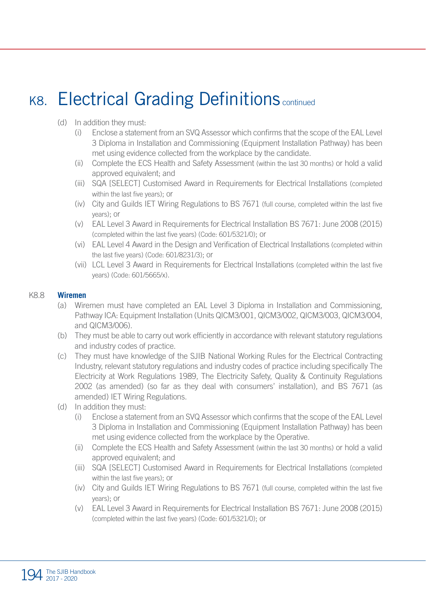# K8. Electrical Grading Definitions continued

#### (d) In addition they must:

- (i) Enclose a statement from an SVQ Assessor which confirms that the scope of the EAL Level 3 Diploma in Installation and Commissioning (Equipment Installation Pathway) has been met using evidence collected from the workplace by the candidate.
- (ii) Complete the ECS Health and Safety Assessment (within the last 30 months) or hold a valid approved equivalent; and
- (iii) SQA [SELECT] Customised Award in Requirements for Electrical Installations (completed within the last five years); or
- (iv) City and Guilds IET Wiring Regulations to BS 7671 (full course, completed within the last five years); or
- (v) EAL Level 3 Award in Requirements for Electrical Installation BS 7671: June 2008 (2015) (completed within the last five years) (Code: 601/5321/0); or
- (vi) EAL Level 4 Award in the Design and Verification of Electrical Installations (completed within the last five years) (Code: 601/8231/3); or
- (vii) LCL Level 3 Award in Requirements for Electrical Installations (completed within the last five years) (Code: 601/5665/x).

#### K8.8 **Wiremen**

- (a) Wiremen must have completed an EAL Level 3 Diploma in Installation and Commissioning, Pathway ICA: Equipment Installation (Units QICM3/001, QICM3/002, QICM3/003, QICM3/004, and QICM3/006).
- (b) They must be able to carry out work efficiently in accordance with relevant statutory regulations and industry codes of practice.
- (c) They must have knowledge of the SJIB National Working Rules for the Electrical Contracting Industry, relevant statutory regulations and industry codes of practice including specifically The Electricity at Work Regulations 1989, The Electricity Safety, Quality & Continuity Regulations 2002 (as amended) (so far as they deal with consumers' installation), and BS 7671 (as amended) IET Wiring Regulations.
- (d) In addition they must:
	- (i) Enclose a statement from an SVQ Assessor which confirms that the scope of the EAL Level 3 Diploma in Installation and Commissioning (Equipment Installation Pathway) has been met using evidence collected from the workplace by the Operative.
	- (ii) Complete the ECS Health and Safety Assessment (within the last 30 months) or hold a valid approved equivalent; and
	- (iii) SQA [SELECT] Customised Award in Requirements for Electrical Installations (completed within the last five years); or
	- (iv) City and Guilds IET Wiring Regulations to BS 7671 (full course, completed within the last five years); or
	- (v) EAL Level 3 Award in Requirements for Electrical Installation BS 7671: June 2008 (2015) (completed within the last five years) (Code: 601/5321/0); or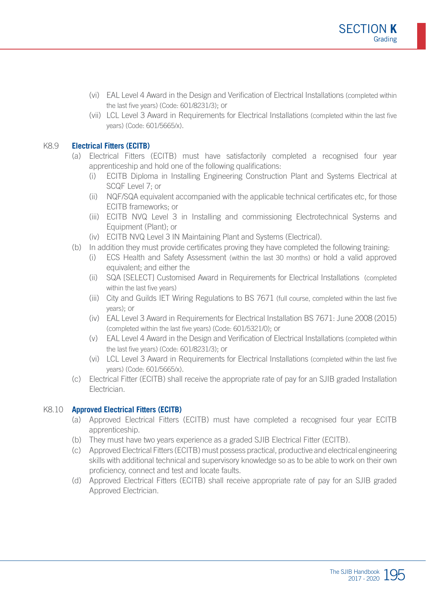- (vi) EAL Level 4 Award in the Design and Verification of Electrical Installations (completed within the last five years) (Code: 601/8231/3); or
- (vii) LCL Level 3 Award in Requirements for Electrical Installations (completed within the last five years) (Code: 601/5665/x).

#### K8.9 **Electrical Fitters (ECITB)**

- (a) Electrical Fitters (ECITB) must have satisfactorily completed a recognised four year apprenticeship and hold one of the following qualifications:
	- (i) ECITB Diploma in Installing Engineering Construction Plant and Systems Electrical at SCQF Level 7; or
	- (ii) NQF/SQA equivalent accompanied with the applicable technical certificates etc, for those ECITB frameworks; or
	- (iii) ECITB NVQ Level 3 in Installing and commissioning Electrotechnical Systems and Equipment (Plant); or
	- (iv) ECITB NVQ Level 3 IN Maintaining Plant and Systems (Electrical).
- (b) In addition they must provide certificates proving they have completed the following training:
	- (i) ECS Health and Safety Assessment (within the last 30 months) or hold a valid approved equivalent; and either the
	- (ii) SQA [SELECT] Customised Award in Requirements for Electrical Installations (completed within the last five years)
	- (iii) City and Guilds IET Wiring Regulations to BS 7671 (full course, completed within the last five years); or
	- (iv) EAL Level 3 Award in Requirements for Electrical Installation BS 7671: June 2008 (2015) (completed within the last five years) (Code: 601/5321/0); or
	- (v) EAL Level 4 Award in the Design and Verification of Electrical Installations (completed within the last five years) (Code: 601/8231/3); or
	- (vi) LCL Level 3 Award in Requirements for Electrical Installations (completed within the last five years) (Code: 601/5665/x).
- (c) Electrical Fitter (ECITB) shall receive the appropriate rate of pay for an SJIB graded Installation Electrician.

#### K8.10 **Approved Electrical Fitters (ECITB)**

- (a) Approved Electrical Fitters (ECITB) must have completed a recognised four year ECITB apprenticeship.
- (b) They must have two years experience as a graded SJIB Electrical Fitter (ECITB).
- (c) Approved Electrical Fitters (ECITB) must possess practical, productive and electrical engineering skills with additional technical and supervisory knowledge so as to be able to work on their own proficiency, connect and test and locate faults.
- (d) Approved Electrical Fitters (ECITB) shall receive appropriate rate of pay for an SJIB graded Approved Electrician.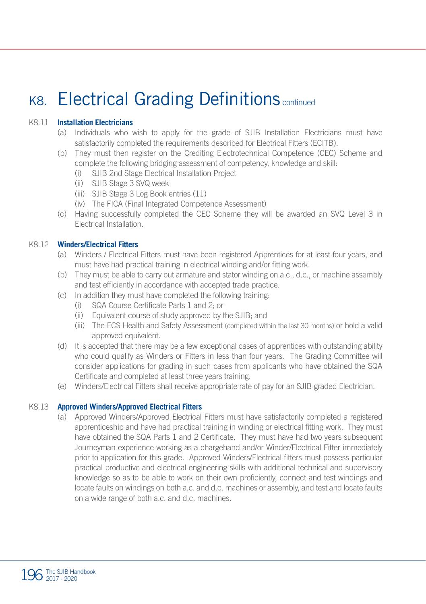### K8. Electrical Grading Definitions continued

#### K8.11 **Installation Electricians**

- (a) Individuals who wish to apply for the grade of SJIB Installation Electricians must have satisfactorily completed the requirements described for Electrical Fitters (ECITB).
- (b) They must then register on the Crediting Electrotechnical Competence (CEC) Scheme and complete the following bridging assessment of competency, knowledge and skill:
	- (i) SJIB 2nd Stage Electrical Installation Project
	- (ii) SJIB Stage 3 SVQ week
	- (iii) SJIB Stage 3 Log Book entries (11)
	- (iv) The FICA (Final Integrated Competence Assessment)
- (c) Having successfully completed the CEC Scheme they will be awarded an SVQ Level 3 in Electrical Installation.

#### K8.12 **Winders/Electrical Fitters**

- (a) Winders / Electrical Fitters must have been registered Apprentices for at least four years, and must have had practical training in electrical winding and/or fitting work.
- (b) They must be able to carry out armature and stator winding on a.c., d.c., or machine assembly and test efficiently in accordance with accepted trade practice.
- (c) In addition they must have completed the following training:
	- (i) SQA Course Certificate Parts 1 and 2; or
	- (ii) Equivalent course of study approved by the SJIB; and
	- (iii) The ECS Health and Safety Assessment (completed within the last 30 months) or hold a valid approved equivalent.
- (d) It is accepted that there may be a few exceptional cases of apprentices with outstanding ability who could qualify as Winders or Fitters in less than four years. The Grading Committee will consider applications for grading in such cases from applicants who have obtained the SQA Certificate and completed at least three years training.
- (e) Winders/Electrical Fitters shall receive appropriate rate of pay for an SJIB graded Electrician.

#### K8.13 **Approved Winders/Approved Electrical Fitters**

(a) Approved Winders/Approved Electrical Fitters must have satisfactorily completed a registered apprenticeship and have had practical training in winding or electrical fitting work. They must have obtained the SQA Parts 1 and 2 Certificate. They must have had two years subsequent Journeyman experience working as a chargehand and/or Winder/Electrical Fitter immediately prior to application for this grade. Approved Winders/Electrical fitters must possess particular practical productive and electrical engineering skills with additional technical and supervisory knowledge so as to be able to work on their own proficiently, connect and test windings and locate faults on windings on both a.c. and d.c. machines or assembly, and test and locate faults on a wide range of both a.c. and d.c. machines.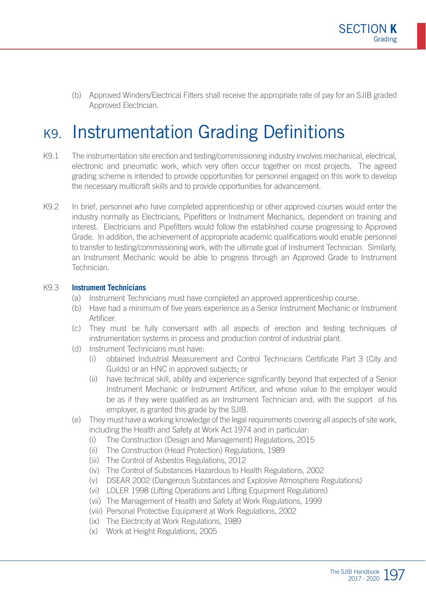(b) Approved Winders/Electrical Fitters shall receive the appropriate rate of pay for an SJIB graded Approved Electrician.

### K9. Instrumentation Grading Definitions

- K9.1 The instrumentation site erection and testing/commissioning industry involves mechanical, electrical, electronic and pneumatic work, which very often occur together on most projects. The agreed grading scheme is intended to provide opportunities for personnel engaged on this work to develop the necessary multicraft skills and to provide opportunities for advancement.
- K9.2 In brief, personnel who have completed apprenticeship or other approved courses would enter the industry normally as Electricians, Pipefitters or Instrument Mechanics, dependent on training and interest. Electricians and Pipefitters would follow the established course progressing to Approved Grade. In addition, the achievement of appropriate academic qualifications would enable personnel to transfer to testing/commissioning work, with the ultimate goal of Instrument Technician. Similarly, an Instrument Mechanic would be able to progress through an Approved Grade to Instrument Technician.

#### K9.3 **Instrument Technicians**

- (a) Instrument Technicians must have completed an approved apprenticeship course.
- (b) Have had a minimum of five years experience as a Senior Instrument Mechanic or Instrument Artificer.
- (c) They must be fully conversant with all aspects of erection and testing techniques of instrumentation systems in process and production control of industrial plant.
- (d) Instrument Technicians must have:
	- (i) obtained Industrial Measurement and Control Technicians Certificate Part 3 (City and Guilds) or an HNC in approved subjects; or
	- (ii) have technical skill, ability and experience significantly beyond that expected of a Senior Instrument Mechanic or Instrument Artificer, and whose value to the employer would be as if they were qualified as an Instrument Technician and, with the support of his employer, is granted this grade by the SJIB.
- (e) They must have a working knowledge of the legal requirements covering all aspects of site work, including the Health and Safety at Work Act 1974 and in particular:
	- (i) The Construction (Design and Management) Regulations, 2015
	- (ii) The Construction (Head Protection) Regulations, 1989
	- (iii) The Control of Asbestos Regulations, 2012
	- (iv) The Control of Substances Hazardous to Health Regulations, 2002
	- (v) DSEAR 2002 (Dangerous Substances and Explosive Atmosphere Regulations)
	- (vi) LOLER 1998 (Lifting Operations and Lifting Equipment Regulations)
	- (vii) The Management of Health and Safety at Work Regulations, 1999
	- (viii) Personal Protective Equipment at Work Regulations, 2002
	- (ix) The Electricity at Work Regulations, 1989
	- (x) Work at Height Regulations, 2005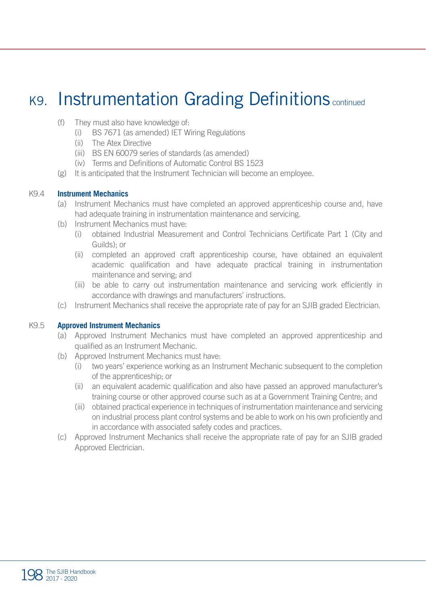### K9. Instrumentation Grading Definitions continued

- (f) They must also have knowledge of:
	- (i) BS 7671 (as amended) IET Wiring Regulations
	- (ii) The Atex Directive
	- (iii) BS EN 60079 series of standards (as amended)
	- (iv) Terms and Definitions of Automatic Control BS 1523
- (g) It is anticipated that the Instrument Technician will become an employee.

#### K9.4 **Instrument Mechanics**

- (a) Instrument Mechanics must have completed an approved apprenticeship course and, have had adequate training in instrumentation maintenance and servicing.
- (b) Instrument Mechanics must have:
	- (i) obtained Industrial Measurement and Control Technicians Certificate Part 1 (City and Guilds); or
	- (ii) completed an approved craft apprenticeship course, have obtained an equivalent academic qualification and have adequate practical training in instrumentation maintenance and serving; and
	- (iii) be able to carry out instrumentation maintenance and servicing work efficiently in accordance with drawings and manufacturers' instructions.
- (c) Instrument Mechanics shall receive the appropriate rate of pay for an SJIB graded Electrician.

#### K9.5 **Approved Instrument Mechanics**

- (a) Approved Instrument Mechanics must have completed an approved apprenticeship and qualified as an Instrument Mechanic.
- (b) Approved Instrument Mechanics must have:
	- (i) two years' experience working as an Instrument Mechanic subsequent to the completion of the apprenticeship; or
	- (ii) an equivalent academic qualification and also have passed an approved manufacturer's training course or other approved course such as at a Government Training Centre; and
	- (iii) obtained practical experience in techniques of instrumentation maintenance and servicing on industrial process plant control systems and be able to work on his own proficiently and in accordance with associated safety codes and practices.
- (c) Approved Instrument Mechanics shall receive the appropriate rate of pay for an SJIB graded Approved Electrician.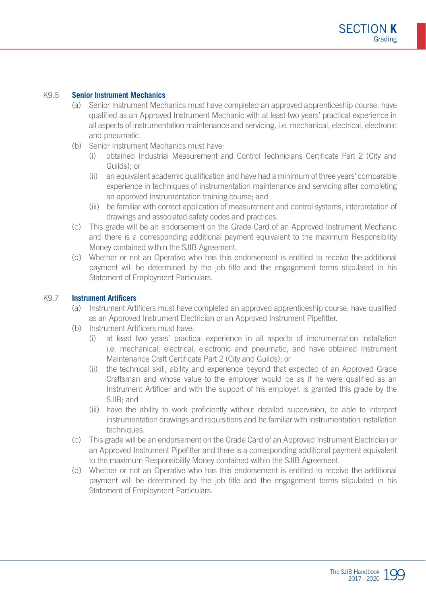#### K9.6 **Senior Instrument Mechanics**

- (a) Senior Instrument Mechanics must have completed an approved apprenticeship course, have qualified as an Approved Instrument Mechanic with at least two years' practical experience in all aspects of instrumentation maintenance and servicing, i.e. mechanical, electrical, electronic and pneumatic.
- (b) Senior Instrument Mechanics must have:
	- (i) obtained Industrial Measurement and Control Technicians Certificate Part 2 (City and Guilds); or
	- (ii) an equivalent academic qualification and have had a minimum of three years' comparable experience in techniques of instrumentation maintenance and servicing after completing an approved instrumentation training course; and
	- (iii) be familiar with correct application of measurement and control systems, interpretation of drawings and associated safety codes and practices.
- (c) This grade will be an endorsement on the Grade Card of an Approved Instrument Mechanic and there is a corresponding additional payment equivalent to the maximum Responsibility Money contained within the SJIB Agreement.
- (d) Whether or not an Operative who has this endorsement is entitled to receive the additional payment will be determined by the job title and the engagement terms stipulated in his Statement of Employment Particulars.

#### K9.7 **Instrument Artificers**

- (a) Instrument Artificers must have completed an approved apprenticeship course, have qualified as an Approved Instrument Electrician or an Approved Instrument Pipefitter.
- (b) Instrument Artificers must have:
	- (i) at least two years' practical experience in all aspects of instrumentation installation i.e. mechanical, electrical, electronic and pneumatic, and have obtained Instrument Maintenance Craft Certificate Part 2 (City and Guilds); or
	- (ii) the technical skill, ability and experience beyond that expected of an Approved Grade Craftsman and whose value to the employer would be as if he were qualified as an Instrument Artificer and with the support of his employer, is granted this grade by the SJIB; and
	- (iii) have the ability to work proficiently without detailed supervision, be able to interpret instrumentation drawings and requisitions and be familiar with instrumentation installation techniques.
- (c) This grade will be an endorsement on the Grade Card of an Approved Instrument Electrician or an Approved Instrument Pipefitter and there is a corresponding additional payment equivalent to the maximum Responsibility Money contained within the SJIB Agreement.
- (d) Whether or not an Operative who has this endorsement is entitled to receive the additional payment will be determined by the job title and the engagement terms stipulated in his Statement of Employment Particulars.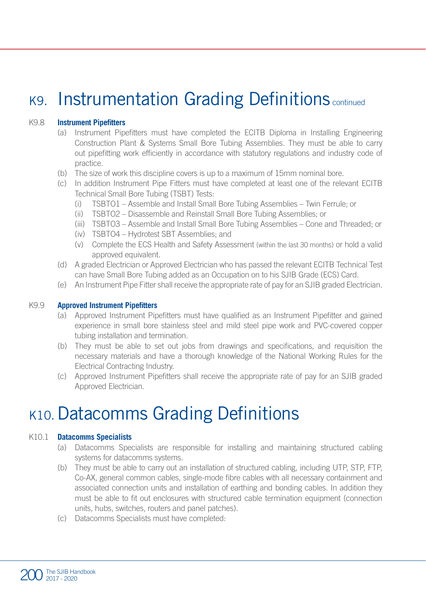### K9. Instrumentation Grading Definitions continued

#### K9.8 **Instrument Pipefitters**

- (a) Instrument Pipefitters must have completed the ECITB Diploma in Installing Engineering Construction Plant & Systems Small Bore Tubing Assemblies. They must be able to carry out pipefitting work efficiently in accordance with statutory regulations and industry code of practice.
- (b) The size of work this discipline covers is up to a maximum of 15mm nominal bore.
- (c) In addition Instrument Pipe Fitters must have completed at least one of the relevant ECITB Technical Small Bore Tubing (TSBT) Tests:
	- (i) TSBTO1 Assemble and Install Small Bore Tubing Assemblies Twin Ferrule; or
	- (ii) TSBTO2 Disassemble and Reinstall Small Bore Tubing Assemblies; or
	- (iii) TSBTO3 Assemble and Install Small Bore Tubing Assemblies Cone and Threaded; or
	- (iv) TSBTO4 Hydrotest SBT Assemblies; and
	- (v) Complete the ECS Health and Safety Assessment (within the last 30 months) or hold a valid approved equivalent.
- (d) A graded Electrician or Approved Electrician who has passed the relevant ECITB Technical Test can have Small Bore Tubing added as an Occupation on to his SJIB Grade (ECS) Card.
- (e) An Instrument Pipe Fitter shall receive the appropriate rate of pay for an SJIB graded Electrician.

#### K9.9 **Approved Instrument Pipefitters**

- (a) Approved Instrument Pipefitters must have qualified as an Instrument Pipefitter and gained experience in small bore stainless steel and mild steel pipe work and PVC-covered copper tubing installation and termination.
- (b) They must be able to set out jobs from drawings and specifications, and requisition the necessary materials and have a thorough knowledge of the National Working Rules for the Electrical Contracting Industry.
- (c) Approved Instrument Pipefitters shall receive the appropriate rate of pay for an SJIB graded Approved Electrician.

### K10. Datacomms Grading Definitions

#### K10.1 **Datacomms Specialists**

- (a) Datacomms Specialists are responsible for installing and maintaining structured cabling systems for datacomms systems.
- (b) They must be able to carry out an installation of structured cabling, including UTP, STP, FTP, Co-AX, general common cables, single-mode fibre cables with all necessary containment and associated connection units and installation of earthing and bonding cables. In addition they must be able to fit out enclosures with structured cable termination equipment (connection units, hubs, switches, routers and panel patches).
- (c) Datacomms Specialists must have completed: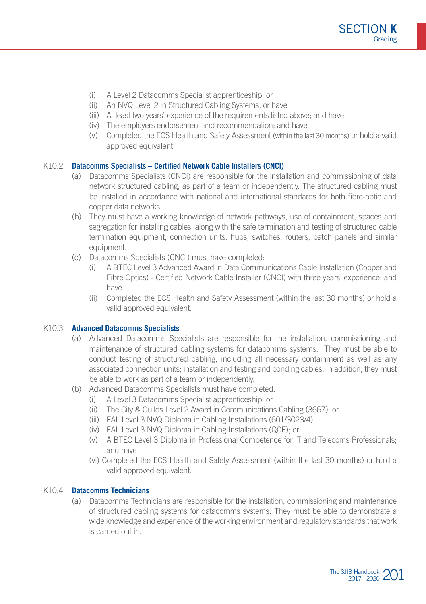- (i) A Level 2 Datacomms Specialist apprenticeship; or
- (ii) An NVQ Level 2 in Structured Cabling Systems; or have
- (iii) At least two years' experience of the requirements listed above; and have
- (iv) The employers endorsement and recommendation; and have
- (v) Completed the ECS Health and Safety Assessment (within the last 30 months) or hold a valid approved equivalent.

#### K10.2 **Datacomms Specialists – Certified Network Cable Installers (CNCI)**

- (a) Datacomms Specialists (CNCI) are responsible for the installation and commissioning of data network structured cabling, as part of a team or independently. The structured cabling must be installed in accordance with national and international standards for both fibre-optic and copper data networks.
- (b) They must have a working knowledge of network pathways, use of containment, spaces and segregation for installing cables, along with the safe termination and testing of structured cable termination equipment, connection units, hubs, switches, routers, patch panels and similar equipment.
- (c) Datacomms Specialists (CNCI) must have completed:
	- (i) A BTEC Level 3 Advanced Award in Data Communications Cable Installation (Copper and Fibre Optics) - Certified Network Cable Installer (CNCI) with three years' experience; and have
	- (ii) Completed the ECS Health and Safety Assessment (within the last 30 months) or hold a valid approved equivalent.

#### K10.3 **Advanced Datacomms Specialists**

- (a) Advanced Datacomms Specialists are responsible for the installation, commissioning and maintenance of structured cabling systems for datacomms systems. They must be able to conduct testing of structured cabling, including all necessary containment as well as any associated connection units; installation and testing and bonding cables. In addition, they must be able to work as part of a team or independently.
- (b) Advanced Datacomms Specialists must have completed:
	- (i) A Level 3 Datacomms Specialist apprenticeship; or
	- (ii) The City & Guilds Level 2 Award in Communications Cabling (3667); or
	- (iii) EAL Level 3 NVQ Diploma in Cabling Installations (601/3023/4)
	- (iv) EAL Level 3 NVQ Diploma in Cabling Installations (QCF); or
	- (v) A BTEC Level 3 Diploma in Professional Competence for IT and Telecoms Professionals; and have
	- (vi) Completed the ECS Health and Safety Assessment (within the last 30 months) or hold a valid approved equivalent.

#### K10.4 **Datacomms Technicians**

(a) Datacomms Technicians are responsible for the installation, commissioning and maintenance of structured cabling systems for datacomms systems. They must be able to demonstrate a wide knowledge and experience of the working environment and regulatory standards that work is carried out in.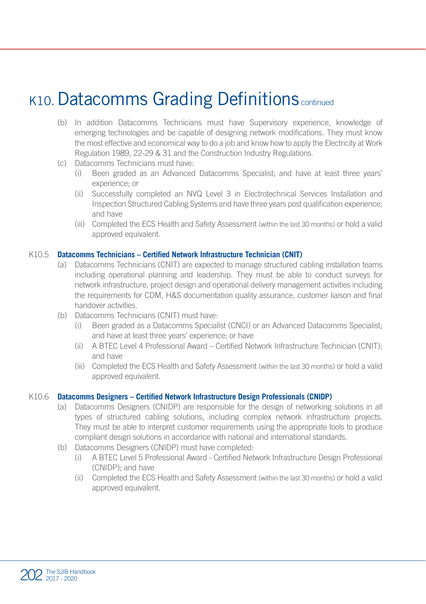# K10. Datacomms Grading Definitions continued

- (b) In addition Datacomms Technicians must have Supervisory experience, knowledge of emerging technologies and be capable of designing network modifications. They must know the most effective and economical way to do a job and know how to apply the Electricity at Work Regulation 1989, 22-29 & 31 and the Construction Industry Regulations.
- (c) Datacomms Technicians must have:
	- (i) Been graded as an Advanced Datacomms Specialist; and have at least three years' experience; or
	- (ii) Successfully completed an NVQ Level 3 in Electrotechnical Services Installation and Inspection Structured Cabling Systems and have three years post qualification experience; and have
	- (iii) Completed the ECS Health and Safety Assessment (within the last 30 months) or hold a valid approved equivalent.

#### K10.5 **Datacomms Technicians – Certified Network Infrastructure Technician (CNIT)**

- (a) Datacomms Technicians (CNIT) are expected to manage structured cabling installation teams including operational planning and leadership. They must be able to conduct surveys for network infrastructure, project design and operational delivery management activities including the requirements for CDM, H&S documentation quality assurance, customer liaison and final handover activities.
- (b) Datacomms Technicians (CNIT) must have:
	- (i) Been graded as a Datacomms Specialist (CNCI) or an Advanced Datacomms Specialist; and have at least three years' experience; or have
	- (ii) A BTEC Level 4 Professional Award Certified Network Infrastructure Technician (CNIT); and have
	- (iii) Completed the ECS Health and Safety Assessment (within the last 30 months) or hold a valid approved equivalent.

#### K10.6 **Datacomms Designers – Certified Network Infrastructure Design Professionals (CNIDP)**

- (a) Datacomms Designers (CNIDP) are responsible for the design of networking solutions in all types of structured cabling solutions, including complex network infrastructure projects. They must be able to interpret customer requirements using the appropriate tools to produce compliant design solutions in accordance with national and international standards.
- (b) Datacomms Designers (CNIDP) must have completed:
	- (i) A BTEC Level 5 Professional Award Certified Network Infrastructure Design Professional (CNIDP); and have
	- (ii) Completed the ECS Health and Safety Assessment (within the last 30 months) or hold a valid approved equivalent.

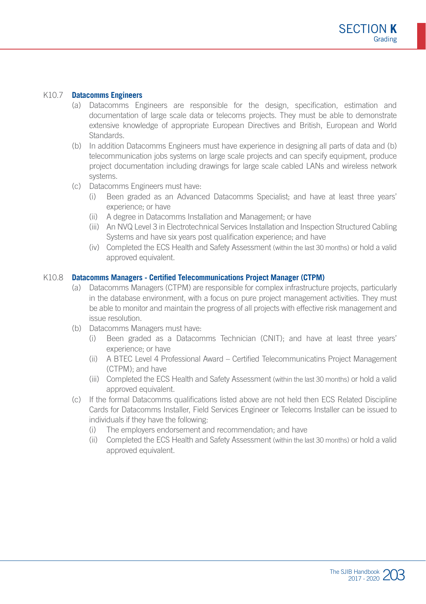#### K10.7 **Datacomms Engineers**

- (a) Datacomms Engineers are responsible for the design, specification, estimation and documentation of large scale data or telecoms projects. They must be able to demonstrate extensive knowledge of appropriate European Directives and British, European and World **Standards**
- (b) In addition Datacomms Engineers must have experience in designing all parts of data and (b) telecommunication jobs systems on large scale projects and can specify equipment, produce project documentation including drawings for large scale cabled LANs and wireless network systems.
- (c) Datacomms Engineers must have:
	- (i) Been graded as an Advanced Datacomms Specialist; and have at least three years' experience; or have
	- (ii) A degree in Datacomms Installation and Management; or have
	- (iii) An NVQ Level 3 in Electrotechnical Services Installation and Inspection Structured Cabling Systems and have six years post qualification experience; and have
	- (iv) Completed the ECS Health and Safety Assessment (within the last 30 months) or hold a valid approved equivalent.

#### K10.8 **Datacomms Managers - Certified Telecommunications Project Manager (CTPM)**

- (a) Datacomms Managers (CTPM) are responsible for complex infrastructure projects, particularly in the database environment, with a focus on pure project management activities. They must be able to monitor and maintain the progress of all projects with effective risk management and issue resolution.
- (b) Datacomms Managers must have:
	- (i) Been graded as a Datacomms Technician (CNIT); and have at least three years' experience; or have
	- (ii) A BTEC Level 4 Professional Award Certified Telecommunicatins Project Management (CTPM); and have
	- (iii) Completed the ECS Health and Safety Assessment (within the last 30 months) or hold a valid approved equivalent.
- (c) If the formal Datacomms qualifications listed above are not held then ECS Related Discipline Cards for Datacomms Installer, Field Services Engineer or Telecoms Installer can be issued to individuals if they have the following:
	- (i) The employers endorsement and recommendation; and have
	- (ii) Completed the ECS Health and Safety Assessment (within the last 30 months) or hold a valid approved equivalent.